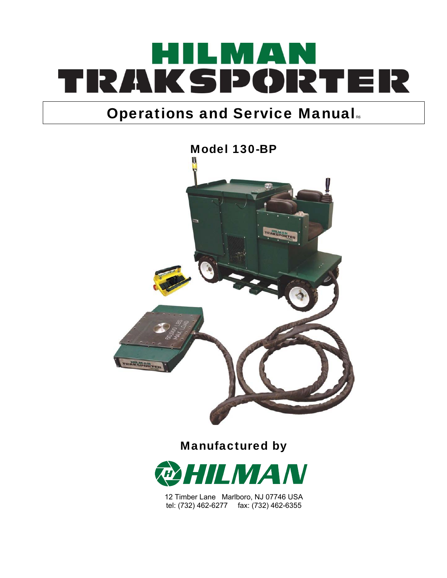# ILMAN TRAKSPORTER

# **Operations and Service Manual**



Manufactured by



12 Timber Lane Marlboro, NJ 07746 USA tel: (732) 462-6277 fax: (732) 462-6355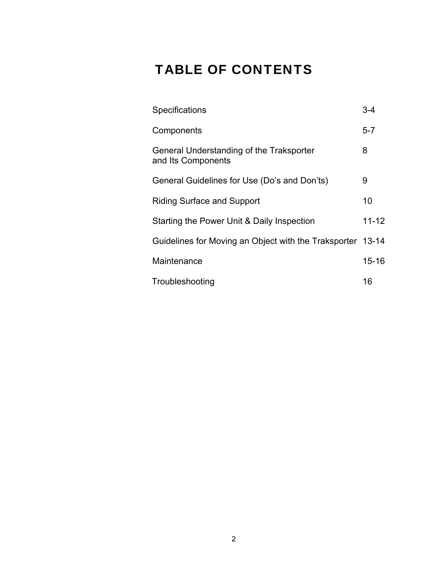## TABLE OF CONTENTS

| Specifications                                                 | 3-4       |
|----------------------------------------------------------------|-----------|
| Components                                                     | $5 - 7$   |
| General Understanding of the Traksporter<br>and Its Components | 8         |
| General Guidelines for Use (Do's and Don'ts)                   | 9         |
| <b>Riding Surface and Support</b>                              | 10        |
| Starting the Power Unit & Daily Inspection                     | $11 - 12$ |
| Guidelines for Moving an Object with the Traksporter 13-14     |           |
| Maintenance                                                    | $15 - 16$ |
| Troubleshooting                                                | 16        |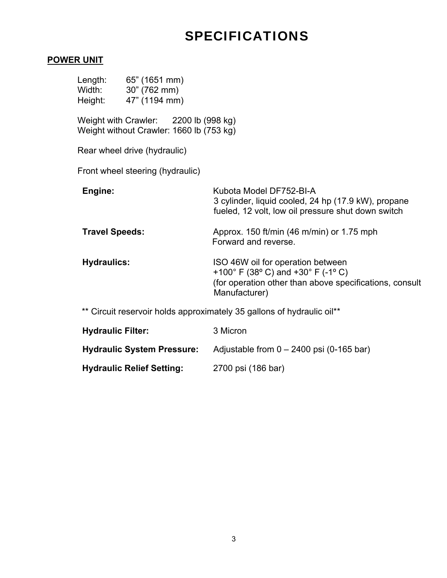## SPECIFICATIONS

#### **POWER UNIT**

| Length: 65" (1651 mm)<br>Width: 30" (762 mm)<br>Height: 47" (1194 mm)             |                                                                                                                                                     |  |  |  |
|-----------------------------------------------------------------------------------|-----------------------------------------------------------------------------------------------------------------------------------------------------|--|--|--|
| Weight with Crawler: 2200 lb (998 kg)<br>Weight without Crawler: 1660 lb (753 kg) |                                                                                                                                                     |  |  |  |
| Rear wheel drive (hydraulic)                                                      |                                                                                                                                                     |  |  |  |
| Front wheel steering (hydraulic)                                                  |                                                                                                                                                     |  |  |  |
| Engine:                                                                           | Kubota Model DF752-BI-A<br>3 cylinder, liquid cooled, 24 hp (17.9 kW), propane<br>fueled, 12 volt, low oil pressure shut down switch                |  |  |  |
| <b>Travel Speeds:</b>                                                             | Approx. 150 ft/min (46 m/min) or 1.75 mph<br>Forward and reverse.                                                                                   |  |  |  |
| <b>Hydraulics:</b>                                                                | ISO 46W oil for operation between<br>+100° F (38° C) and +30° F (-1° C)<br>(for operation other than above specifications, consult<br>Manufacturer) |  |  |  |
| ** Circuit reservoir holds approximately 35 gallons of hydraulic oil**            |                                                                                                                                                     |  |  |  |
| <b>Hydraulic Filter:</b>                                                          | 3 Micron                                                                                                                                            |  |  |  |
| <b>Hydraulic System Pressure:</b>                                                 | Adjustable from $0 - 2400$ psi (0-165 bar)                                                                                                          |  |  |  |
| <b>Hydraulic Relief Setting:</b>                                                  | 2700 psi (186 bar)                                                                                                                                  |  |  |  |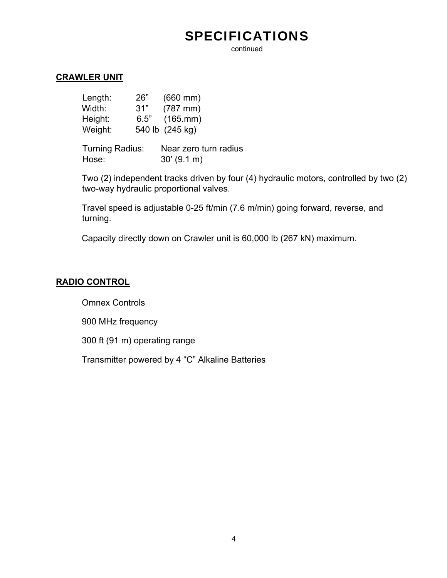## SPECIFICATIONS

continued

#### **CRAWLER UNIT**

| 26"  | $(660 \, \text{mm})$ |
|------|----------------------|
| 31"  | $(787 \, \text{mm})$ |
| 6.5" | $(165.$ mm $)$       |
|      | 540 lb (245 kg)      |
|      |                      |

Turning Radius: Near zero turn radius Hose: 30' (9.1 m)

Two (2) independent tracks driven by four (4) hydraulic motors, controlled by two (2) two-way hydraulic proportional valves.

Travel speed is adjustable 0-25 ft/min (7.6 m/min) going forward, reverse, and turning.

Capacity directly down on Crawler unit is 60,000 lb (267 kN) maximum.

#### **RADIO CONTROL**

Omnex Controls

900 MHz frequency

300 ft (91 m) operating range

Transmitter powered by 4 "C" Alkaline Batteries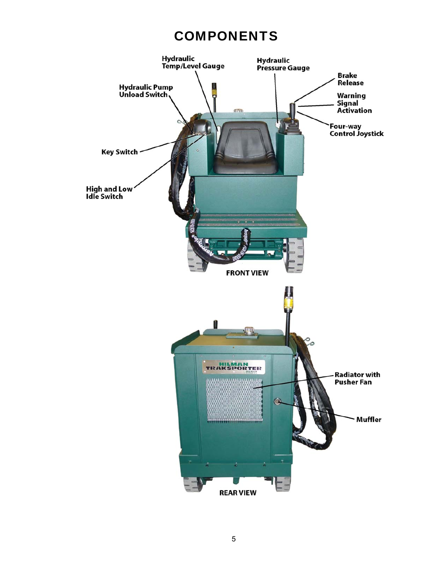#### **COMPONENTS**

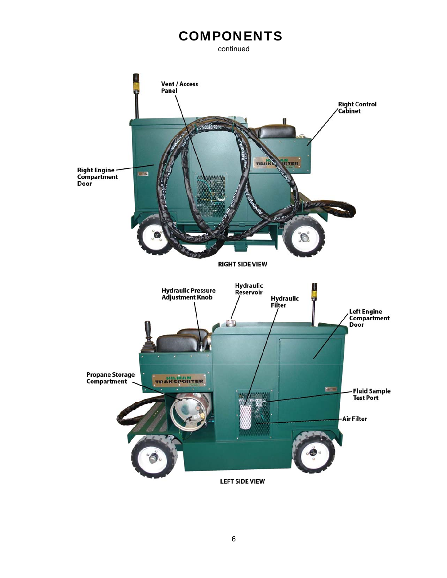## **COMPONENTS**

continued

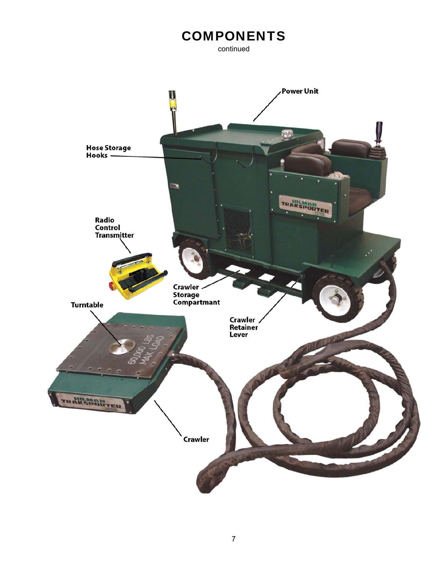## **COMPONENTS**

continued

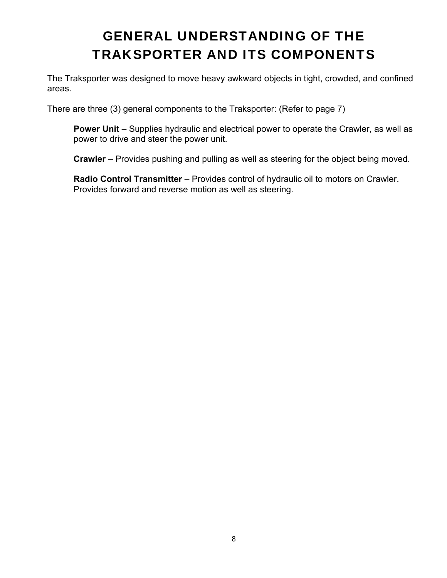## GENERAL UNDERSTANDING OF THE TRAKSPORTER AND ITS COMPONENTS

The Traksporter was designed to move heavy awkward objects in tight, crowded, and confined areas.

There are three (3) general components to the Traksporter: (Refer to page 7)

**Power Unit** – Supplies hydraulic and electrical power to operate the Crawler, as well as power to drive and steer the power unit.

**Crawler** – Provides pushing and pulling as well as steering for the object being moved.

**Radio Control Transmitter** – Provides control of hydraulic oil to motors on Crawler. Provides forward and reverse motion as well as steering.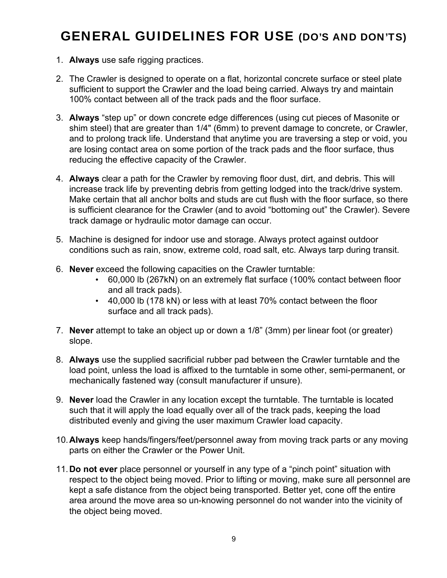## GENERAL GUIDELINES FOR USE (DO'S AND DON'TS)

- 1. **Always** use safe rigging practices.
- 2. The Crawler is designed to operate on a flat, horizontal concrete surface or steel plate sufficient to support the Crawler and the load being carried. Always try and maintain 100% contact between all of the track pads and the floor surface.
- 3. **Always** "step up" or down concrete edge differences (using cut pieces of Masonite or shim steel) that are greater than 1/4" (6mm) to prevent damage to concrete, or Crawler, and to prolong track life. Understand that anytime you are traversing a step or void, you are losing contact area on some portion of the track pads and the floor surface, thus reducing the effective capacity of the Crawler.
- 4. **Always** clear a path for the Crawler by removing floor dust, dirt, and debris. This will increase track life by preventing debris from getting lodged into the track/drive system. Make certain that all anchor bolts and studs are cut flush with the floor surface, so there is sufficient clearance for the Crawler (and to avoid "bottoming out" the Crawler). Severe track damage or hydraulic motor damage can occur.
- 5. Machine is designed for indoor use and storage. Always protect against outdoor conditions such as rain, snow, extreme cold, road salt, etc. Always tarp during transit.
- 6. **Never** exceed the following capacities on the Crawler turntable:
	- 60,000 lb (267kN) on an extremely flat surface (100% contact between floor and all track pads).
	- 40,000 lb (178 kN) or less with at least 70% contact between the floor surface and all track pads).
- 7. **Never** attempt to take an object up or down a 1/8" (3mm) per linear foot (or greater) slope.
- 8. **Always** use the supplied sacrificial rubber pad between the Crawler turntable and the load point, unless the load is affixed to the turntable in some other, semi-permanent, or mechanically fastened way (consult manufacturer if unsure).
- 9. **Never** load the Crawler in any location except the turntable. The turntable is located such that it will apply the load equally over all of the track pads, keeping the load distributed evenly and giving the user maximum Crawler load capacity.
- 10. **Always** keep hands/fingers/feet/personnel away from moving track parts or any moving parts on either the Crawler or the Power Unit.
- 11. **Do not ever** place personnel or yourself in any type of a "pinch point" situation with respect to the object being moved. Prior to lifting or moving, make sure all personnel are kept a safe distance from the object being transported. Better yet, cone off the entire area around the move area so un-knowing personnel do not wander into the vicinity of the object being moved.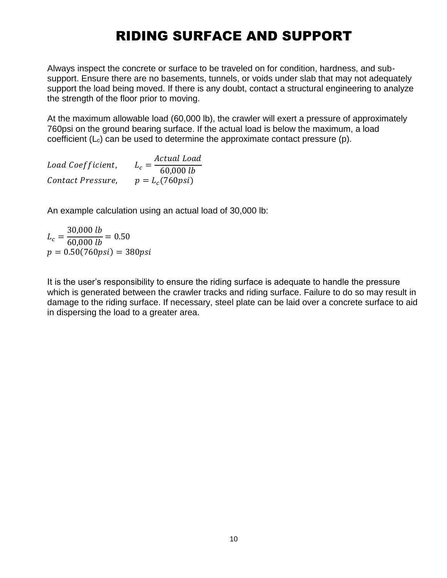## RIDING SURFACE AND SUPPORT

Always inspect the concrete or surface to be traveled on for condition, hardness, and subsupport. Ensure there are no basements, tunnels, or voids under slab that may not adequately support the load being moved. If there is any doubt, contact a structural engineering to analyze the strength of the floor prior to moving.

At the maximum allowable load (60,000 lb), the crawler will exert a pressure of approximately 760psi on the ground bearing surface. If the actual load is below the maximum, a load coefficient  $(L<sub>c</sub>)$  can be used to determine the approximate contact pressure (p).

| Load Coefficient, | Actual Load           |
|-------------------|-----------------------|
|                   | $L_c$<br>60,000 lb    |
| Contact Pressure, | $p = L_c(760\pi s i)$ |

An example calculation using an actual load of 30,000 lb:

 $L_c =$ 30,000 lb  $\frac{60,000 \text{ lb}}{60,000 \text{ lb}} = 0.50$  $p = 0.50(760\pi) = 380\pi$ 

It is the user's responsibility to ensure the riding surface is adequate to handle the pressure which is generated between the crawler tracks and riding surface. Failure to do so may result in damage to the riding surface. If necessary, steel plate can be laid over a concrete surface to aid in dispersing the load to a greater area.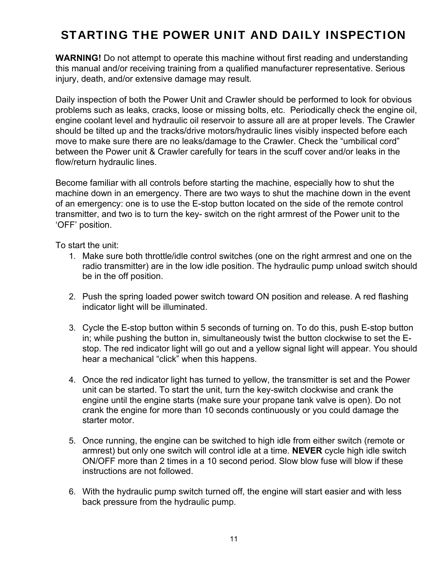#### STARTING THE POWER UNIT AND DAILY INSPECTION

**WARNING!** Do not attempt to operate this machine without first reading and understanding this manual and/or receiving training from a qualified manufacturer representative. Serious injury, death, and/or extensive damage may result.

Daily inspection of both the Power Unit and Crawler should be performed to look for obvious problems such as leaks, cracks, loose or missing bolts, etc. Periodically check the engine oil, engine coolant level and hydraulic oil reservoir to assure all are at proper levels. The Crawler should be tilted up and the tracks/drive motors/hydraulic lines visibly inspected before each move to make sure there are no leaks/damage to the Crawler. Check the "umbilical cord" between the Power unit & Crawler carefully for tears in the scuff cover and/or leaks in the flow/return hydraulic lines.

Become familiar with all controls before starting the machine, especially how to shut the machine down in an emergency. There are two ways to shut the machine down in the event of an emergency: one is to use the E-stop button located on the side of the remote control transmitter, and two is to turn the key- switch on the right armrest of the Power unit to the 'OFF' position.

To start the unit:

- 1. Make sure both throttle/idle control switches (one on the right armrest and one on the radio transmitter) are in the low idle position. The hydraulic pump unload switch should be in the off position.
- 2. Push the spring loaded power switch toward ON position and release. A red flashing indicator light will be illuminated.
- 3. Cycle the E-stop button within 5 seconds of turning on. To do this, push E-stop button in; while pushing the button in, simultaneously twist the button clockwise to set the Estop. The red indicator light will go out and a yellow signal light will appear. You should hear a mechanical "click" when this happens.
- 4. Once the red indicator light has turned to yellow, the transmitter is set and the Power unit can be started. To start the unit, turn the key-switch clockwise and crank the engine until the engine starts (make sure your propane tank valve is open). Do not crank the engine for more than 10 seconds continuously or you could damage the starter motor.
- 5. Once running, the engine can be switched to high idle from either switch (remote or armrest) but only one switch will control idle at a time. **NEVER** cycle high idle switch ON/OFF more than 2 times in a 10 second period. Slow blow fuse will blow if these instructions are not followed.
- 6. With the hydraulic pump switch turned off, the engine will start easier and with less back pressure from the hydraulic pump.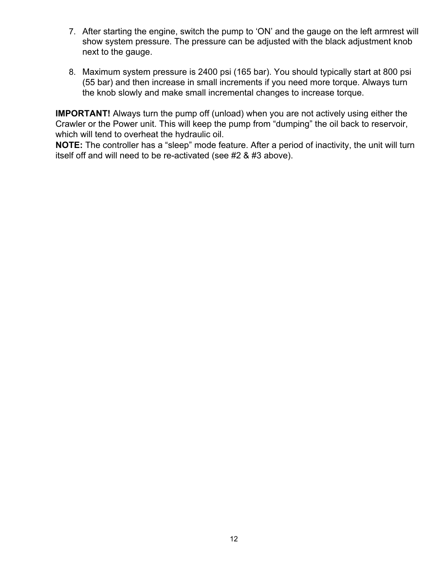- 7. After starting the engine, switch the pump to 'ON' and the gauge on the left armrest will show system pressure. The pressure can be adjusted with the black adjustment knob next to the gauge.
- 8. Maximum system pressure is 2400 psi (165 bar). You should typically start at 800 psi (55 bar) and then increase in small increments if you need more torque. Always turn the knob slowly and make small incremental changes to increase torque.

**IMPORTANT!** Always turn the pump off (unload) when you are not actively using either the Crawler or the Power unit. This will keep the pump from "dumping" the oil back to reservoir, which will tend to overheat the hydraulic oil.

**NOTE:** The controller has a "sleep" mode feature. After a period of inactivity, the unit will turn itself off and will need to be re-activated (see #2 & #3 above).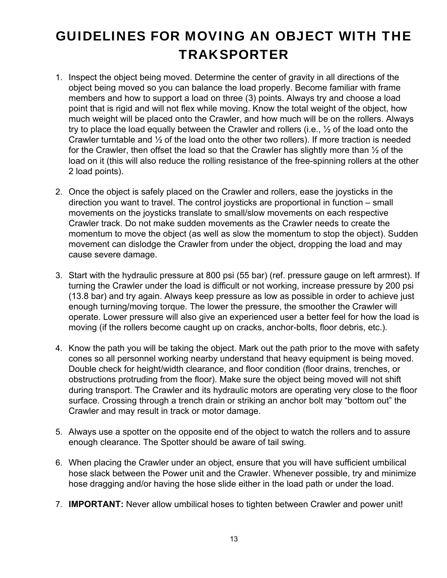# GUIDELINES FOR MOVING AN OBJECT WITH THE **TRAKSPORTER**

- 1. Inspect the object being moved. Determine the center of gravity in all directions of the object being moved so you can balance the load properly. Become familiar with frame members and how to support a load on three (3) points. Always try and choose a load point that is rigid and will not flex while moving. Know the total weight of the object, how much weight will be placed onto the Crawler, and how much will be on the rollers. Always try to place the load equally between the Crawler and rollers (i.e., ½ of the load onto the Crawler turntable and ½ of the load onto the other two rollers). If more traction is needed for the Crawler, then offset the load so that the Crawler has slightly more than  $\frac{1}{2}$  of the load on it (this will also reduce the rolling resistance of the free-spinning rollers at the other 2 load points).
- 2. Once the object is safely placed on the Crawler and rollers, ease the joysticks in the direction you want to travel. The control joysticks are proportional in function – small movements on the joysticks translate to small/slow movements on each respective Crawler track. Do not make sudden movements as the Crawler needs to create the momentum to move the object (as well as slow the momentum to stop the object). Sudden movement can dislodge the Crawler from under the object, dropping the load and may cause severe damage.
- 3. Start with the hydraulic pressure at 800 psi (55 bar) (ref. pressure gauge on left armrest). If turning the Crawler under the load is difficult or not working, increase pressure by 200 psi (13.8 bar) and try again. Always keep pressure as low as possible in order to achieve just enough turning/moving torque. The lower the pressure, the smoother the Crawler will operate. Lower pressure will also give an experienced user a better feel for how the load is moving (if the rollers become caught up on cracks, anchor-bolts, floor debris, etc.).
- 4. Know the path you will be taking the object. Mark out the path prior to the move with safety cones so all personnel working nearby understand that heavy equipment is being moved. Double check for height/width clearance, and floor condition (floor drains, trenches, or obstructions protruding from the floor). Make sure the object being moved will not shift during transport. The Crawler and its hydraulic motors are operating very close to the floor surface. Crossing through a trench drain or striking an anchor bolt may "bottom out" the Crawler and may result in track or motor damage.
- 5. Always use a spotter on the opposite end of the object to watch the rollers and to assure enough clearance. The Spotter should be aware of tail swing.
- 6. When placing the Crawler under an object, ensure that you will have sufficient umbilical hose slack between the Power unit and the Crawler. Whenever possible, try and minimize hose dragging and/or having the hose slide either in the load path or under the load.
- 7. **IMPORTANT:** Never allow umbilical hoses to tighten between Crawler and power unit!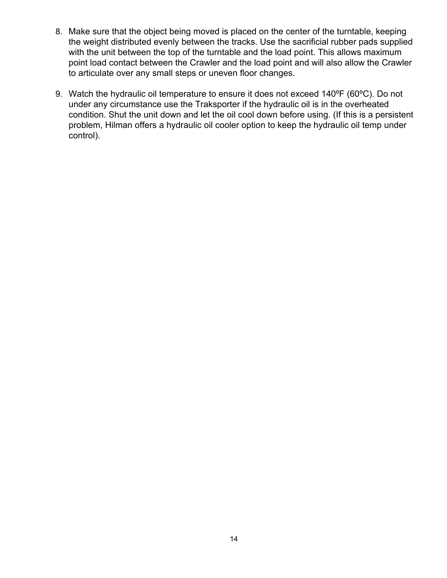- 8. Make sure that the object being moved is placed on the center of the turntable, keeping the weight distributed evenly between the tracks. Use the sacrificial rubber pads supplied with the unit between the top of the turntable and the load point. This allows maximum point load contact between the Crawler and the load point and will also allow the Crawler to articulate over any small steps or uneven floor changes.
- 9. Watch the hydraulic oil temperature to ensure it does not exceed 140ºF (60ºC). Do not under any circumstance use the Traksporter if the hydraulic oil is in the overheated condition. Shut the unit down and let the oil cool down before using. (If this is a persistent problem, Hilman offers a hydraulic oil cooler option to keep the hydraulic oil temp under control).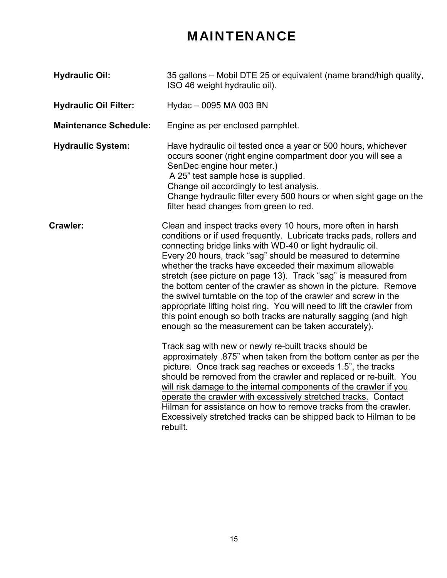## MAINTENANCE

| <b>Hydraulic Oil:</b>        | 35 gallons - Mobil DTE 25 or equivalent (name brand/high quality,<br>ISO 46 weight hydraulic oil).                                                                                                                                                                                                                                                                                                                                                                                                                                                                                                                                                                                                                                          |  |
|------------------------------|---------------------------------------------------------------------------------------------------------------------------------------------------------------------------------------------------------------------------------------------------------------------------------------------------------------------------------------------------------------------------------------------------------------------------------------------------------------------------------------------------------------------------------------------------------------------------------------------------------------------------------------------------------------------------------------------------------------------------------------------|--|
| <b>Hydraulic Oil Filter:</b> | Hydac - 0095 MA 003 BN                                                                                                                                                                                                                                                                                                                                                                                                                                                                                                                                                                                                                                                                                                                      |  |
| <b>Maintenance Schedule:</b> | Engine as per enclosed pamphlet.                                                                                                                                                                                                                                                                                                                                                                                                                                                                                                                                                                                                                                                                                                            |  |
| <b>Hydraulic System:</b>     | Have hydraulic oil tested once a year or 500 hours, whichever<br>occurs sooner (right engine compartment door you will see a<br>SenDec engine hour meter.)<br>A 25" test sample hose is supplied.<br>Change oil accordingly to test analysis.<br>Change hydraulic filter every 500 hours or when sight gage on the<br>filter head changes from green to red.                                                                                                                                                                                                                                                                                                                                                                                |  |
| Crawler:                     | Clean and inspect tracks every 10 hours, more often in harsh<br>conditions or if used frequently. Lubricate tracks pads, rollers and<br>connecting bridge links with WD-40 or light hydraulic oil.<br>Every 20 hours, track "sag" should be measured to determine<br>whether the tracks have exceeded their maximum allowable<br>stretch (see picture on page 13). Track "sag" is measured from<br>the bottom center of the crawler as shown in the picture. Remove<br>the swivel turntable on the top of the crawler and screw in the<br>appropriate lifting hoist ring. You will need to lift the crawler from<br>this point enough so both tracks are naturally sagging (and high<br>enough so the measurement can be taken accurately). |  |
|                              | Track sag with new or newly re-built tracks should be<br>approximately .875" when taken from the bottom center as per the<br>picture. Once track sag reaches or exceeds 1.5", the tracks<br>should be removed from the crawler and replaced or re-built. You<br>will risk damage to the internal components of the crawler if you<br>operate the crawler with excessively stretched tracks. Contact<br>Hilman for assistance on how to remove tracks from the crawler.<br>Excessively stretched tracks can be shipped back to Hilman to be<br>rebuilt.                                                                                                                                                                                      |  |